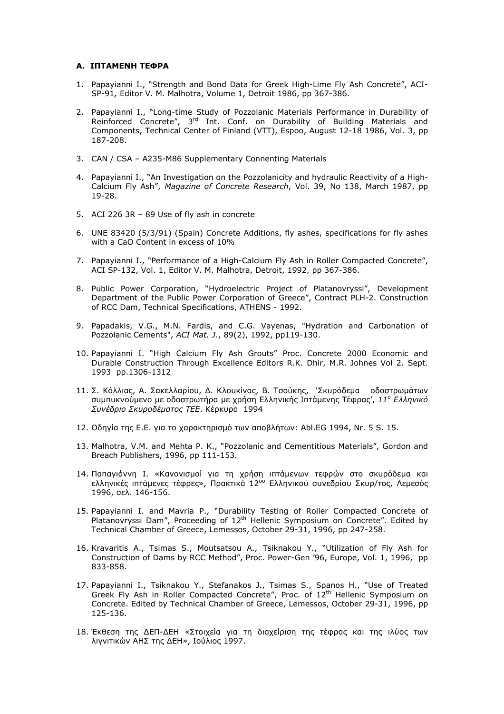## А. ІПТАМЕНН ТЕФРА

- 1. Papavianni I., "Strength and Bond Data for Greek High-Lime Fly Ash Concrete", ACI-SP-91, Editor V. M. Malhotra, Volume 1, Detroit 1986, pp 367-386.
- 2. Papayianni I., "Long-time Study of Pozzolanic Materials Performance in Durability of Reinforced Concrete", 3<sup>rd</sup> Int. Conf. on Durability of Building Materials and Components, Technical Center of Finland (VTT), Espoo, August 12-18 1986, Vol. 3, pp 187-208.
- 3. CAN / CSA A235-M86 Supplementary Connenting Materials
- 4. Papayianni I., "An Investigation on the Pozzolanicity and hydraulic Reactivity of a High-Calcium Fly Ash", Magazine of Concrete Research, Vol. 39, No 138, March 1987, pp 19-28.
- 5. ACI 226 3R 89 Use of fly ash in concrete
- 6. UNE 83420 (5/3/91) (Spain) Concrete Additions, fly ashes, specifications for fly ashes with a CaO Content in excess of 10%
- 7. Papayianni I., "Performance of a High-Calcium Fly Ash in Roller Compacted Concrete", ACI SP-132, Vol. 1, Editor V. M. Malhotra, Detroit, 1992, pp 367-386.
- 8. Public Power Corporation, "Hydroelectric Project of Platanovryssi", Development Department of the Public Power Corporation of Greece", Contract PLH-2. Construction of RCC Dam, Technical Specifications, ATHENS - 1992.
- 9. Papadakis, V.G., M.N. Fardis, and C.G. Vayenas, "Hydration and Carbonation of Pozzolanic Cements", ACI Mat. J., 89(2), 1992, pp119-130.
- 10. Papayianni I. "High Calcium Fly Ash Grouts" Proc. Concrete 2000 Economic and Durable Construction Through Excellence Editors R.K. Dhir, M.R. Johnes Vol 2. Sept. 1993 pp.1306-1312
- 11. Σ. Κόλλιας, Α. Σακελλαρίου, Δ. Κλουκίνας, Β. Τσούκης, `Σκυρόδεμα οδοστρωμάτων συμπυκνούμενο με οδοστρωτήρα με χρήση Ελληνικής Ιπτάμενης Τέφρας', 11<sup>°</sup> Ελληνικό Συνέδριο Σκυροδέματος ΤΕΕ. Κέρκυρα 1994
- 12. Οδηγία της Ε.Ε. για το χαρακτηρισμό των αποβλήτων: Abl.EG 1994, Nr. 5 S. 15.
- 13. Malhotra, V.M. and Mehta P. K., "Pozzolanic and Cementitious Materials", Gordon and Breach Publishers, 1996, pp 111-153.
- 14. Παπαγιάννη Ι. «Κανονισμοί για τη χρήση ιπτάμενων τεφρών στο σκυρόδεμα και ελληνικές ιπτάμενες τέφρες», Πρακτικά 12<sup>ου</sup> Ελληνικού συνεδρίου Σκυρ/τος, Λεμεσός 1996, σελ. 146-156.
- 15. Papayianni I. and Mavria P., "Durability Testing of Roller Compacted Concrete of Platanovryssi Dam", Proceeding of 12<sup>th</sup> Hellenic Symposium on Concrete". Edited by Technical Chamber of Greece, Lemessos, October 29-31, 1996, pp 247-258.
- 16. Kravaritis A., Tsimas S., Moutsatsou A., Tsiknakou Y., "Utilization of Fly Ash for Construction of Dams by RCC Method", Proc. Power-Gen '96, Europe, Vol. 1, 1996, pp 833-858.
- 17. Papayianni I., Tsiknakou Y., Stefanakos J., Tsimas S., Spanos H., "Use of Treated Greek Fly Ash in Roller Compacted Concrete", Proc. of 12<sup>th</sup> Hellenic Symposium on Concrete. Edited by Technical Chamber of Greece, Lemessos, October 29-31, 1996, pp 125-136.
- 18. Έκθεση της ΔΕΠ-ΔΕΗ «Στοιχεία για τη διαχείριση της τέφρας και της ιλύος των λιγνιτικών ΑΗΣ της ΔΕΗ», Ιούλιος 1997.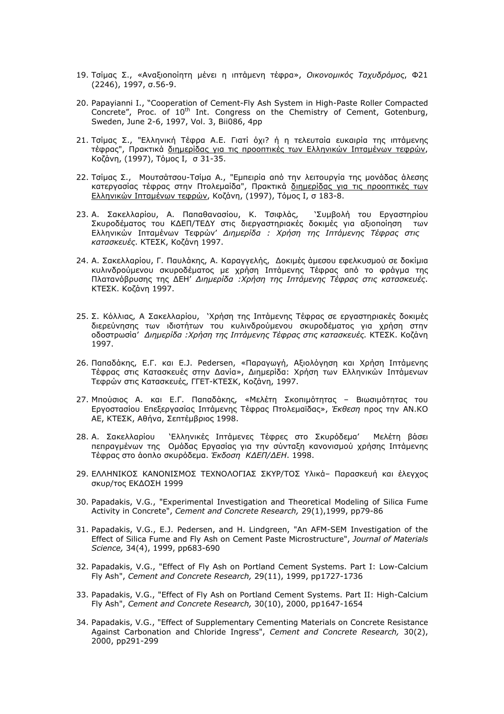- 19. Τσίμας Σ., «Αναξιοποίητη μένει η ιπτάμενη τέφρα», *Οικονομικός Ταχυδρόμος*, Φ21 (2246), 1997, σ.56-9.
- 20. Papayianni I., "Cooperation of Cement-Fly Ash System in High-Paste Roller Compacted Concrete", Proc. of  $10^{th}$  Int. Congress on the Chemistry of Cement, Gotenburg, Sweden, June 2-6, 1997, Vol. 3, Bii086, 4pp
- 21. Τσίμας Σ., "Ελληνική Τέφρα Α.Ε. Γιατί όχι? ή η τελευταία ευκαιρία της ιπτάμενης τέφρας", Πρακτικά διημερίδας για τις προοπτικές των Ελληνικών Ιπταμένων τεφρών, Κοζάνη, (1997), Τόμος Ι, σ 31-35.
- 22. Τσίμας Σ., Μουτσάτσου-Τσίμα Α., "Εμπειρία από την λειτουργία της μονάδας άλεσης κατεργασίας τέφρας στην Πτολεμαίδα", Πρακτικά διημερίδας για τις προοπτικές των <u>Ελληνικών Ιπταμένων τεφρών</u>, Κοζάνη, (1997), Τόμος Ι, σ 183-8.
- 23. Α. Σακελλαρίου, Α. Παπαθανασίου, Κ. Τσιφλάς, `Συμβολή του Εργαστηρίου Σκυροδέματος του ΚΔΕΠ/ΤΕΔΥ στις διεργαστηριακές δοκιμές για αξιοποίηση των ' Ελληνικών Ιπταμένων Τεφρών' *Διημερίδα : Χρήση της Ιπτάμενης Τέφρας στις κατασκευές*. ΚΤΕΣΚ, Κοζάνη 1997.
- 24. Α. Σακελλαρίου, Γ. Παυλάκης, Α. Καραγγελής, Δοκιμές άμεσου εφελκυσμού σε δοκίμια κυλινδρούμενου σκυροδέματος με χρήση Ιπτάμενης Τέφρας από το φράγμα της Πλατανόβρυσης της ΔΕΗ' Διημερίδα :Χρήση της Ιπτάμενης Τέφρας στις κατασκευές. ΚΤΕΣΚ. Κοζάνη 1997.
- 25. Σ. Κόλλιας, Α Σακελλαρίου, `Χρήση της Ιπτάμενης Τέφρας σε εργαστηριακές δοκιμές διερεύνησης των ιδιοτήτων του κυλινδρούμενου σκυροδέματος για χρήση στην οδοστρωσία' Διημερίδα : Χρήση της Ιπτάμενης Τέφρας στις κατασκευές. ΚΤΕΣΚ. Κοζάνη 1997.
- 26. Παπαδάκης, Ε.Γ. και Ε.J. Pedersen, «Παραγωγή, Αξιολόγηση και Χρήση Ιπτάμενης Τέφρας στις Κατασκευές στην Δανία», Διημερίδα: Χρήση των Ελληνικών Ιπτάμενων Τεφρών στις Κατασκευές, ΓΓΕΤ-ΚΤΕΣΚ, Κοζάνη, 1997.
- 27. Μπούσιος Α. και Ε.Γ. Παπαδάκης, «Μελέτη Σκοπιμότητας Βιωσιμότητας του Εργοστασίου Επεξεργασίας Ιπτάμενης Τέφρας Πτολεμαϊδας», *Έκθεση* προς την ΑΝ.ΚΟ ΑΕ, ΚΤΕΣΚ, Αθήνα, Σεπτέμβριος 1998.
- 28. Α. Σακελλαρίου `Ελληνικές Ιπτάμενες Τέφρες στο Σκυρόδεμα' Μελέτη βάσει πεπραγμένων της Ομάδας Εργασίας για την σύνταξη κανονισμού χρήσης Ιπτάμενης Τέφρας στο ἀοπλο σκυρόδεμα. *Έκδοση ΚΔΕΠ/ΔΕΗ*. 1998.
- 29. ΕΛΛΗΝΙΚΟΣ ΚΑΝΟΝΙΣΜΟΣ ΤΕΧΝΟΛΟΓΙΑΣ ΣΚΥΡ/ΤΟΣ Υλικά- Παρασκευή και έλεγχος σκυρ/τος ΕΚΔΟΣΗ 1999
- 30. Papadakis, V.G., "Experimental Investigation and Theoretical Modeling of Silica Fume Activity in Concrete", Cement and Concrete Research, 29(1),1999, pp79-86
- 31. Papadakis, V.G., E.J. Pedersen, and H. Lindgreen, "An AFM-SEM Investigation of the Effect of Silica Fume and Fly Ash on Cement Paste Microstructure", Journal of Materials Science, 34(4), 1999, pp683-690
- 32. Papadakis, V.G., "Effect of Fly Ash on Portland Cement Systems. Part I: Low-Calcium Fly Ash", Cement and Concrete Research, 29(11), 1999, pp1727-1736
- 33. Papadakis, V.G., "Effect of Fly Ash on Portland Cement Systems. Part II: High-Calcium Fly Ash", Cement and Concrete Research, 30(10), 2000, pp1647-1654
- 34. Papadakis, V.G., "Effect of Supplementary Cementing Materials on Concrete Resistance Against Carbonation and Chloride Ingress", Cement and Concrete Research, 30(2), 2000, pp291-299